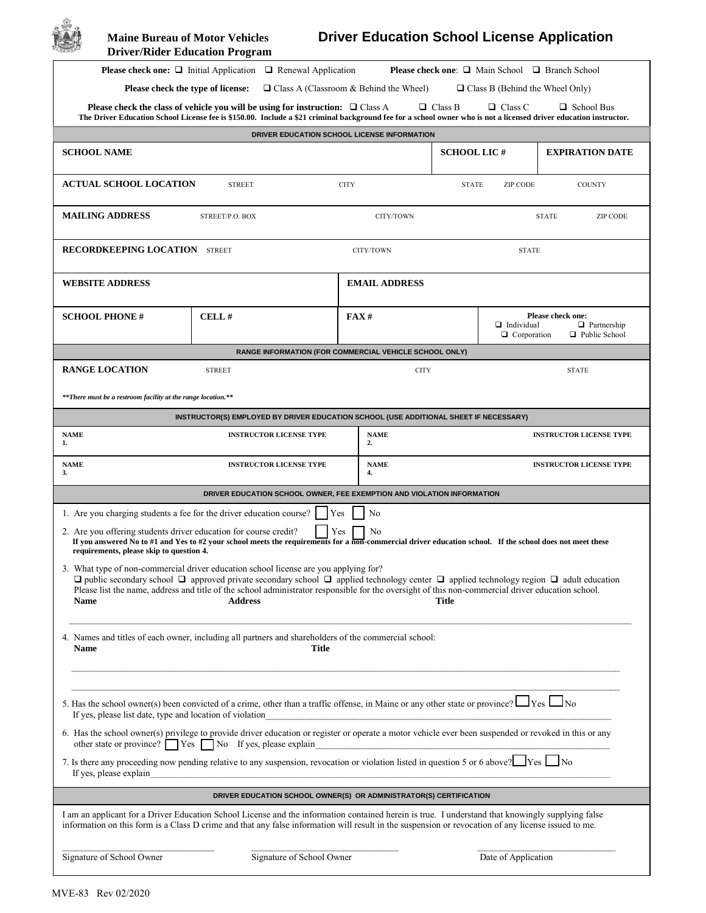| <b>Maine Bureau of Motor Vehicles</b><br><b>Driver/Rider Education Program</b> |                                                                                                                                                                                                                                                                                                                                                                                                                                 |             |                                                                                                                                                                                                                                      |                    |                                         | <b>Driver Education School License Application</b>               |
|--------------------------------------------------------------------------------|---------------------------------------------------------------------------------------------------------------------------------------------------------------------------------------------------------------------------------------------------------------------------------------------------------------------------------------------------------------------------------------------------------------------------------|-------------|--------------------------------------------------------------------------------------------------------------------------------------------------------------------------------------------------------------------------------------|--------------------|-----------------------------------------|------------------------------------------------------------------|
|                                                                                | <b>Please check one:</b> $\Box$ Initial Application $\Box$ Renewal Application                                                                                                                                                                                                                                                                                                                                                  |             |                                                                                                                                                                                                                                      |                    |                                         | <b>Please check one:</b> $\Box$ Main School $\Box$ Branch School |
| Please check the type of license:                                              |                                                                                                                                                                                                                                                                                                                                                                                                                                 |             | $\Box$ Class A (Classroom & Behind the Wheel)                                                                                                                                                                                        |                    | $\Box$ Class B (Behind the Wheel Only)  |                                                                  |
|                                                                                | Please check the class of vehicle you will be using for instruction: $\Box$ Class A<br>The Driver Education School License fee is \$150.00. Include a \$21 criminal background fee for a school owner who is not a licensed driver education instructor.                                                                                                                                                                        |             |                                                                                                                                                                                                                                      | $\Box$ Class B     | $\Box$ Class C                          | $\Box$ School Bus                                                |
|                                                                                | DRIVER EDUCATION SCHOOL LICENSE INFORMATION                                                                                                                                                                                                                                                                                                                                                                                     |             |                                                                                                                                                                                                                                      |                    |                                         |                                                                  |
| <b>SCHOOL NAME</b>                                                             |                                                                                                                                                                                                                                                                                                                                                                                                                                 |             |                                                                                                                                                                                                                                      | <b>SCHOOL LIC#</b> |                                         | <b>EXPIRATION DATE</b>                                           |
| <b>ACTUAL SCHOOL LOCATION</b>                                                  | <b>STREET</b>                                                                                                                                                                                                                                                                                                                                                                                                                   | <b>CITY</b> |                                                                                                                                                                                                                                      | <b>STATE</b>       | <b>ZIP CODE</b>                         | <b>COUNTY</b>                                                    |
| <b>MAILING ADDRESS</b>                                                         | STREET/P.O. BOX                                                                                                                                                                                                                                                                                                                                                                                                                 |             | CITY/TOWN                                                                                                                                                                                                                            |                    |                                         | <b>STATE</b><br><b>ZIP CODE</b>                                  |
| <b>RECORDKEEPING LOCATION STREET</b>                                           |                                                                                                                                                                                                                                                                                                                                                                                                                                 |             | CITY/TOWN                                                                                                                                                                                                                            |                    | <b>STATE</b>                            |                                                                  |
| <b>WEBSITE ADDRESS</b>                                                         |                                                                                                                                                                                                                                                                                                                                                                                                                                 |             | <b>EMAIL ADDRESS</b>                                                                                                                                                                                                                 |                    |                                         |                                                                  |
| <b>SCHOOL PHONE#</b>                                                           | CELL#                                                                                                                                                                                                                                                                                                                                                                                                                           |             | FAX#                                                                                                                                                                                                                                 |                    | $\Box$ Individual<br>$\Box$ Corporation | Please check one:<br>$\Box$ Partnership<br>□ Public School       |
|                                                                                | <b>RANGE INFORMATION (FOR COMMERCIAL VEHICLE SCHOOL ONLY)</b>                                                                                                                                                                                                                                                                                                                                                                   |             |                                                                                                                                                                                                                                      |                    |                                         |                                                                  |
| <b>RANGE LOCATION</b>                                                          | <b>STREET</b>                                                                                                                                                                                                                                                                                                                                                                                                                   |             | <b>CITY</b>                                                                                                                                                                                                                          |                    |                                         | <b>STATE</b>                                                     |
| **There must be a restroom facility at the range location.**                   |                                                                                                                                                                                                                                                                                                                                                                                                                                 |             |                                                                                                                                                                                                                                      |                    |                                         |                                                                  |
|                                                                                | INSTRUCTOR(S) EMPLOYED BY DRIVER EDUCATION SCHOOL (USE ADDITIONAL SHEET IF NECESSARY)                                                                                                                                                                                                                                                                                                                                           |             |                                                                                                                                                                                                                                      |                    |                                         |                                                                  |
| <b>NAME</b><br>1.                                                              | <b>INSTRUCTOR LICENSE TYPE</b>                                                                                                                                                                                                                                                                                                                                                                                                  |             | <b>NAME</b><br>2.                                                                                                                                                                                                                    |                    |                                         | <b>INSTRUCTOR LICENSE TYPE</b>                                   |
| <b>NAME</b><br>3.                                                              | <b>INSTRUCTOR LICENSE TYPE</b>                                                                                                                                                                                                                                                                                                                                                                                                  |             | <b>NAME</b><br>4.                                                                                                                                                                                                                    |                    |                                         | <b>INSTRUCTOR LICENSE TYPE</b>                                   |
|                                                                                | DRIVER EDUCATION SCHOOL OWNER, FEE EXEMPTION AND VIOLATION INFORMATION                                                                                                                                                                                                                                                                                                                                                          |             |                                                                                                                                                                                                                                      |                    |                                         |                                                                  |
| 1. Are you charging students a fee for the driver education course?            |                                                                                                                                                                                                                                                                                                                                                                                                                                 | Yes         | No                                                                                                                                                                                                                                   |                    |                                         |                                                                  |
| requirements, please skip to question 4.                                       | 2. Are you offering students driver education for course credit? $\Box$ Yes $\Box$ No<br>If you answered No to $#1$ and Yes to $#2$ your school meets the requirements for a non-commercial driver education school. If the school does not meet these                                                                                                                                                                          |             |                                                                                                                                                                                                                                      |                    |                                         |                                                                  |
| Name                                                                           | 3. What type of non-commercial driver education school license are you applying for?<br>$\Box$ public secondary school $\Box$ approved private secondary school $\Box$ applied technology center $\Box$ applied technology region $\Box$ adult education<br>Please list the name, address and title of the school administrator responsible for the oversight of this non-commercial driver education school.<br><b>Address</b> |             |                                                                                                                                                                                                                                      | Title              |                                         |                                                                  |
| <b>Name</b>                                                                    | 4. Names and titles of each owner, including all partners and shareholders of the commercial school:<br>Title                                                                                                                                                                                                                                                                                                                   |             |                                                                                                                                                                                                                                      |                    |                                         |                                                                  |
| If yes, please list date, type and location of violation                       | 5. Has the school owner(s) been convicted of a crime, other than a traffic offense, in Maine or any other state or province? $\Box$ Yes $\Box$ No                                                                                                                                                                                                                                                                               |             |                                                                                                                                                                                                                                      |                    |                                         |                                                                  |
|                                                                                | 6. Has the school owner(s) privilege to provide driver education or register or operate a motor vehicle ever been suspended or revoked in this or any<br>other state or province? $\Box$ Yes $\Box$ No If yes, please explain                                                                                                                                                                                                   |             | <u> 1980 - Jan Barnett, mars ann an t-Amhraich ann an t-Amhraich ann an t-Amhraich ann an t-Amhraich ann an t-Amhraich ann an t-Amhraich ann an t-Amhraich ann an t-Amhraich ann an t-Amhraich ann an t-Amhraich ann an t-Amhrai</u> |                    |                                         |                                                                  |
| If yes, please explain                                                         | 7. Is there any proceeding now pending relative to any suspension, revocation or violation listed in question 5 or 6 above? $\Box$ Yes $\Box$ No                                                                                                                                                                                                                                                                                |             |                                                                                                                                                                                                                                      |                    |                                         |                                                                  |
|                                                                                | DRIVER EDUCATION SCHOOL OWNER(S) OR ADMINISTRATOR(S) CERTIFICATION                                                                                                                                                                                                                                                                                                                                                              |             |                                                                                                                                                                                                                                      |                    |                                         |                                                                  |
|                                                                                | I am an applicant for a Driver Education School License and the information contained herein is true. I understand that knowingly supplying false<br>information on this form is a Class D crime and that any false information will result in the suspension or revocation of any license issued to me.                                                                                                                        |             |                                                                                                                                                                                                                                      |                    |                                         |                                                                  |
| Signature of School Owner                                                      | Signature of School Owner                                                                                                                                                                                                                                                                                                                                                                                                       |             |                                                                                                                                                                                                                                      |                    | Date of Application                     |                                                                  |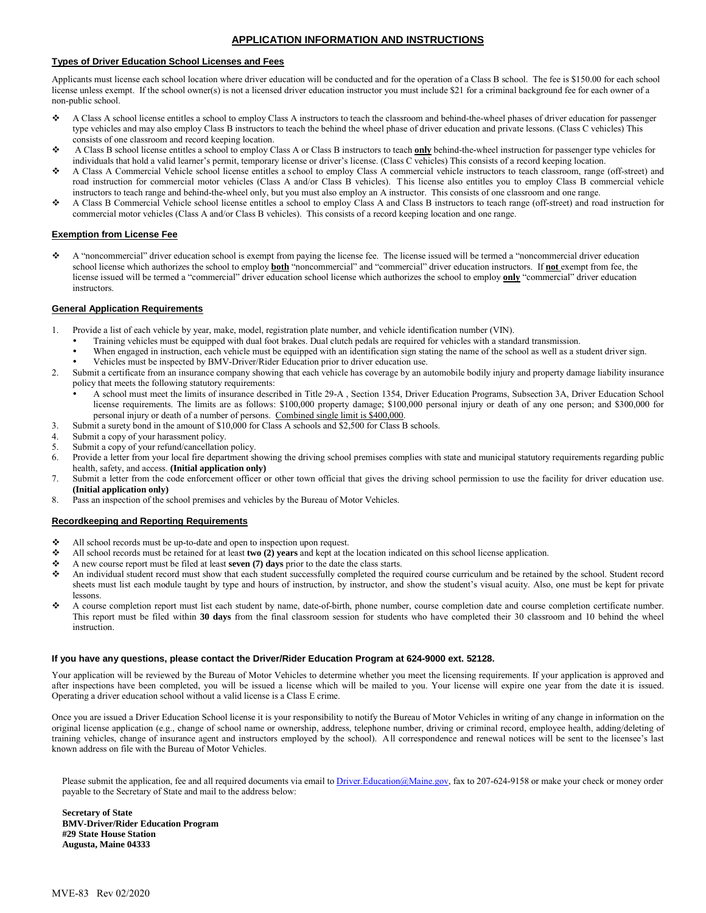#### **APPLICATION INFORMATION AND INSTRUCTIONS**

#### **Types of Driver Education School Licenses and Fees**

Applicants must license each school location where driver education will be conducted and for the operation of a Class B school. The fee is \$150.00 for each school license unless exempt. If the school owner(s) is not a licensed driver education instructor you must include \$21 for a criminal background fee for each owner of a non-public school.

- A Class A school license entitles a school to employ Class A instructors to teach the classroom and behind-the-wheel phases of driver education for passenger type vehicles and may also employ Class B instructors to teach the behind the wheel phase of driver education and private lessons. (Class C vehicles) This consists of one classroom and record keeping location.
- A Class B school license entitles a school to employ Class A or Class B instructors to teach **only** behind-the-wheel instruction for passenger type vehicles for individuals that hold a valid learner's permit, temporary license or driver's license. (Class C vehicles) This consists of a record keeping location.
- A Class A Commercial Vehicle school license entitles a school to employ Class A commercial vehicle instructors to teach classroom, range (off-street) and road instruction for commercial motor vehicles (Class A and/or Class B vehicles). T his license also entitles you to employ Class B commercial vehicle instructors to teach range and behind-the-wheel only, but you must also employ an A instructor. This consists of one classroom and one range.
- A Class B Commercial Vehicle school license entitles a school to employ Class A and Class B instructors to teach range (off-street) and road instruction for commercial motor vehicles (Class A and/or Class B vehicles). This consists of a record keeping location and one range.

#### **Exemption from License Fee**

 A "noncommercial" driver education school is exempt from paying the license fee. The license issued will be termed a "noncommercial driver education school license which authorizes the school to employ **both** "noncommercial" and "commercial" driver education instructors. If **not** exempt from fee, the license issued will be termed a "commercial" driver education school license which authorizes the school to employ **only** "commercial" driver education instructors.

#### **General Application Requirements**

- 1. Provide a list of each vehicle by year, make, model, registration plate number, and vehicle identification number (VIN).
	- Training vehicles must be equipped with dual foot brakes. Dual clutch pedals are required for vehicles with a standard transmission.
	- When engaged in instruction, each vehicle must be equipped with an identification sign stating the name of the school as well as a student driver sign.
	- Vehicles must be inspected by BMV-Driver/Rider Education prior to driver education use.
- 2. Submit a certificate from an insurance company showing that each vehicle has coverage by an automobile bodily injury and property damage liability insurance policy that meets the following statutory requirements:
	- A school must meet the limits of insurance described in Title 29-A , Section 1354, Driver Education Programs, Subsection 3A, Driver Education School license requirements. The limits are as follows: \$100,000 property damage; \$100,000 personal injury or death of any one person; and \$300,000 for personal injury or death of a number of persons. Combined single limit is \$400,000.
- 3. Submit a surety bond in the amount of \$10,000 for Class A schools and \$2,500 for Class B schools.<br>4. Submit a conv of your harassment noticy.
- Submit a copy of your harassment policy.
- 5. Submit a copy of your refund/cancellation policy.
- 6. Provide a letter from your local fire department showing the driving school premises complies with state and municipal statutory requirements regarding public health, safety, and access. **(Initial application only)**
- 7. Submit a letter from the code enforcement officer or other town official that gives the driving school permission to use the facility for driver education use. **(Initial application only)**
- 8. Pass an inspection of the school premises and vehicles by the Bureau of Motor Vehicles.

#### **Recordkeeping and Reporting Requirements**

- All school records must be up-to-date and open to inspection upon request.
- All school records must be retained for at least **two (2) years** and kept at the location indicated on this school license application.
- A new course report must be filed at least **seven (7) days** prior to the date the class starts.
- An individual student record must show that each student successfully completed the required course curriculum and be retained by the school. Student record sheets must list each module taught by type and hours of instruction, by instructor, and show the student's visual acuity. Also, one must be kept for private lessons.
- A course completion report must list each student by name, date-of-birth, phone number, course completion date and course completion certificate number. This report must be filed within **30 days** from the final classroom session for students who have completed their 30 classroom and 10 behind the wheel instruction.

#### **If you have any questions, please contact the Driver/Rider Education Program at 624-9000 ext. 52128.**

Your application will be reviewed by the Bureau of Motor Vehicles to determine whether you meet the licensing requirements. If your application is approved and after inspections have been completed, you will be issued a license which will be mailed to you. Your license will expire one year from the date it is issued. Operating a driver education school without a valid license is a Class E crime.

Once you are issued a Driver Education School license it is your responsibility to notify the Bureau of Motor Vehicles in writing of any change in information on the original license application (e.g., change of school name or ownership, address, telephone number, driving or criminal record, employee health, adding/deleting of training vehicles, change of insurance agent and instructors employed by the school). All correspondence and renewal notices will be sent to the licensee's last known address on file with the Bureau of Motor Vehicles.

Please submit the application, fee and all required documents via email t[o Driver.Education@Maine.gov,](mailto:Driver.Education@Maine.gov) fax to 207-624-9158 or make your check or money order payable to the Secretary of State and mail to the address below:

**Secretary of State BMV-Driver/Rider Education Program #29 State House Station Augusta, Maine 04333**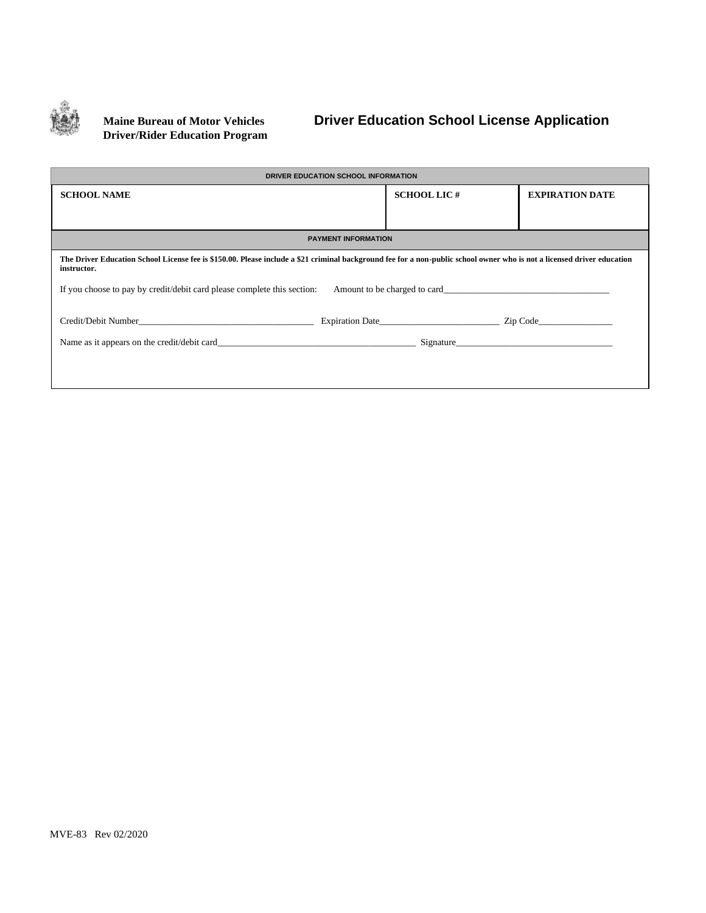

# **Driver/Rider Education Program**

## **Maine Bureau of Motor Vehicles Driver Education School License Application**

| DRIVER EDUCATION SCHOOL INFORMATION                                                                                                                                                                                            |                    |                        |  |  |  |  |  |  |
|--------------------------------------------------------------------------------------------------------------------------------------------------------------------------------------------------------------------------------|--------------------|------------------------|--|--|--|--|--|--|
| <b>SCHOOL NAME</b>                                                                                                                                                                                                             | <b>SCHOOL LIC#</b> | <b>EXPIRATION DATE</b> |  |  |  |  |  |  |
|                                                                                                                                                                                                                                |                    |                        |  |  |  |  |  |  |
|                                                                                                                                                                                                                                |                    |                        |  |  |  |  |  |  |
| <b>PAYMENT INFORMATION</b>                                                                                                                                                                                                     |                    |                        |  |  |  |  |  |  |
| The Driver Education School License fee is \$150.00. Please include a \$21 criminal background fee for a non-public school owner who is not a licensed driver education<br>instructor.                                         |                    |                        |  |  |  |  |  |  |
| If you choose to pay by credit/debit card please complete this section: Amount to be charged to card                                                                                                                           |                    |                        |  |  |  |  |  |  |
| Credit/Debit Number Credit/Debit Number Credit Contact Credit Contact Credit Contact Credit Contact Credit Contact Credit Contact Credit Contact Credit Contact Credit Contact Credit Contact Credit Contact Credit Contact Cr |                    |                        |  |  |  |  |  |  |
| Name as it appears on the credit/debit card                                                                                                                                                                                    | Signature          |                        |  |  |  |  |  |  |
|                                                                                                                                                                                                                                |                    |                        |  |  |  |  |  |  |
|                                                                                                                                                                                                                                |                    |                        |  |  |  |  |  |  |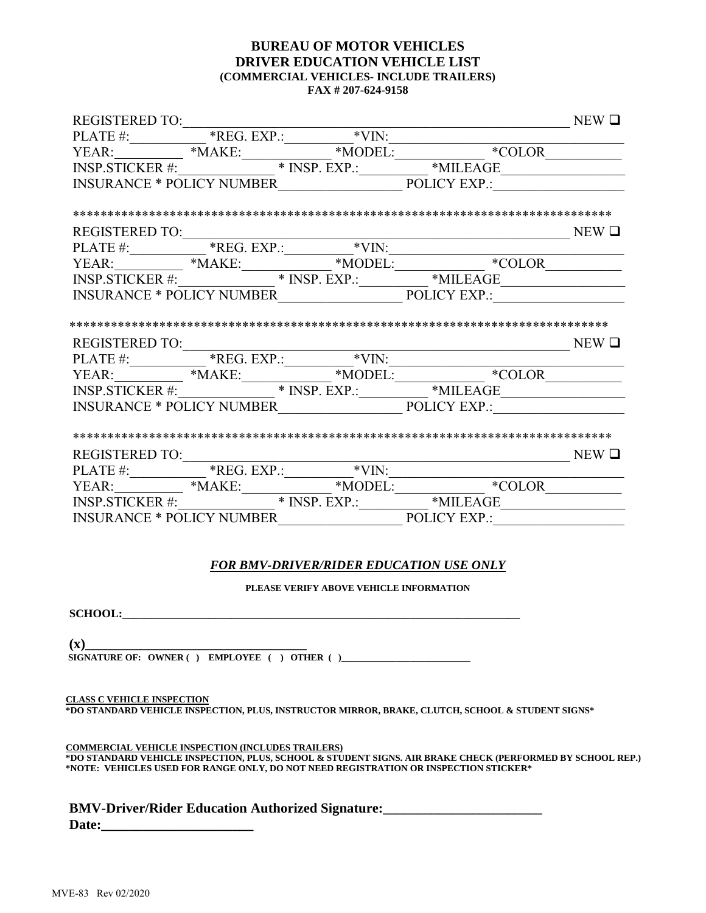### **BUREAU OF MOTOR VEHICLES DRIVER EDUCATION VEHICLE LIST (COMMERCIAL VEHICLES- INCLUDE TRAILERS) FAX # 207-624-9158**

|  |                                                      | $\begin{tabular}{l c c c} \hline \texttt{REGISTERED TO:}\quad & \texttt{NEW D} \\\hline \texttt{PLATE} & \texttt{*REG. EXP.:}\quad & \texttt{*VIN:}\quad & \texttt{*COLOR} \\\hline \texttt{YEAR:}\quad & \texttt{*MAKE:}\quad & \texttt{*MODEL:}\quad & \texttt{*MILEAGE} \\\hline \texttt{NSP.STICKER} & \texttt{*}} & \texttt{INSP. EXP.:}\quad & \texttt{*MILEAGE} \\\hline \texttt{INSURANCE * POLICY NUMBER}\quad & \texttt{POLICY EXP.:}\quad & \texttt{POLICY EXP.:} \\\hline \end{tabular}$   |  |
|--|------------------------------------------------------|--------------------------------------------------------------------------------------------------------------------------------------------------------------------------------------------------------------------------------------------------------------------------------------------------------------------------------------------------------------------------------------------------------------------------------------------------------------------------------------------------------|--|
|  |                                                      |                                                                                                                                                                                                                                                                                                                                                                                                                                                                                                        |  |
|  |                                                      |                                                                                                                                                                                                                                                                                                                                                                                                                                                                                                        |  |
|  |                                                      | $\begin{tabular}{l c c c} \multicolumn{2}{c}{REGISTERED TO:} & & & & & & & & & & & \\ \hline \multicolumn{2}{c}{PLATE\#:} & \text{\textcolor{red}{*REG}.\textcolor{blue}{EXP::} & \text{\textcolor{red}{*VIN:}} & & & & & & & \\ \multicolumn{2}{c}{YEAR:} & \text{\textcolor{red}{*MAKE:}} & \text{\textcolor{red}{*MONEL:}} & \text{\textcolor{red}{*MODEL:}} & \text{\textcolor{red}{*COLOR}} & \text{\textcolor{red}{*COLOR}} \\ \multicolumn{2}{c}{INSP.STICKER\#:} & \text{\textcolor{red}{*MNE$ |  |
|  |                                                      |                                                                                                                                                                                                                                                                                                                                                                                                                                                                                                        |  |
|  |                                                      |                                                                                                                                                                                                                                                                                                                                                                                                                                                                                                        |  |
|  |                                                      |                                                                                                                                                                                                                                                                                                                                                                                                                                                                                                        |  |
|  |                                                      |                                                                                                                                                                                                                                                                                                                                                                                                                                                                                                        |  |
|  |                                                      |                                                                                                                                                                                                                                                                                                                                                                                                                                                                                                        |  |
|  |                                                      |                                                                                                                                                                                                                                                                                                                                                                                                                                                                                                        |  |
|  |                                                      |                                                                                                                                                                                                                                                                                                                                                                                                                                                                                                        |  |
|  |                                                      |                                                                                                                                                                                                                                                                                                                                                                                                                                                                                                        |  |
|  |                                                      |                                                                                                                                                                                                                                                                                                                                                                                                                                                                                                        |  |
|  |                                                      |                                                                                                                                                                                                                                                                                                                                                                                                                                                                                                        |  |
|  |                                                      |                                                                                                                                                                                                                                                                                                                                                                                                                                                                                                        |  |
|  |                                                      |                                                                                                                                                                                                                                                                                                                                                                                                                                                                                                        |  |
|  |                                                      |                                                                                                                                                                                                                                                                                                                                                                                                                                                                                                        |  |
|  |                                                      |                                                                                                                                                                                                                                                                                                                                                                                                                                                                                                        |  |
|  |                                                      |                                                                                                                                                                                                                                                                                                                                                                                                                                                                                                        |  |
|  |                                                      |                                                                                                                                                                                                                                                                                                                                                                                                                                                                                                        |  |
|  |                                                      |                                                                                                                                                                                                                                                                                                                                                                                                                                                                                                        |  |
|  |                                                      |                                                                                                                                                                                                                                                                                                                                                                                                                                                                                                        |  |
|  |                                                      |                                                                                                                                                                                                                                                                                                                                                                                                                                                                                                        |  |
|  |                                                      |                                                                                                                                                                                                                                                                                                                                                                                                                                                                                                        |  |
|  | <b>FOR BMV-DRIVER/RIDER EDUCATION USE ONLY</b>       |                                                                                                                                                                                                                                                                                                                                                                                                                                                                                                        |  |
|  | PLEASE VERIFY ABOVE VEHICLE INFORMATION              |                                                                                                                                                                                                                                                                                                                                                                                                                                                                                                        |  |
|  |                                                      |                                                                                                                                                                                                                                                                                                                                                                                                                                                                                                        |  |
|  | SCHOOL:                                              |                                                                                                                                                                                                                                                                                                                                                                                                                                                                                                        |  |
|  | $(X)$ SIGNATURE OF: OWNER ( ) EMPLOYEE ( ) OTHER ( ) |                                                                                                                                                                                                                                                                                                                                                                                                                                                                                                        |  |

 **CLASS C VEHICLE INSPECTION \*DO STANDARD VEHICLE INSPECTION, PLUS, INSTRUCTOR MIRROR, BRAKE, CLUTCH, SCHOOL & STUDENT SIGNS\***

 **COMMERCIAL VEHICLE INSPECTION (INCLUDES TRAILERS) \*DO STANDARD VEHICLE INSPECTION, PLUS, SCHOOL & STUDENT SIGNS. AIR BRAKE CHECK (PERFORMED BY SCHOOL REP.) \*NOTE: VEHICLES USED FOR RANGE ONLY, DO NOT NEED REGISTRATION OR INSPECTION STICKER\***

 **BMV-Driver/Rider Education Authorized Signature:\_\_\_\_\_\_\_\_\_\_\_\_\_\_\_\_\_\_\_\_\_\_\_**  Date: